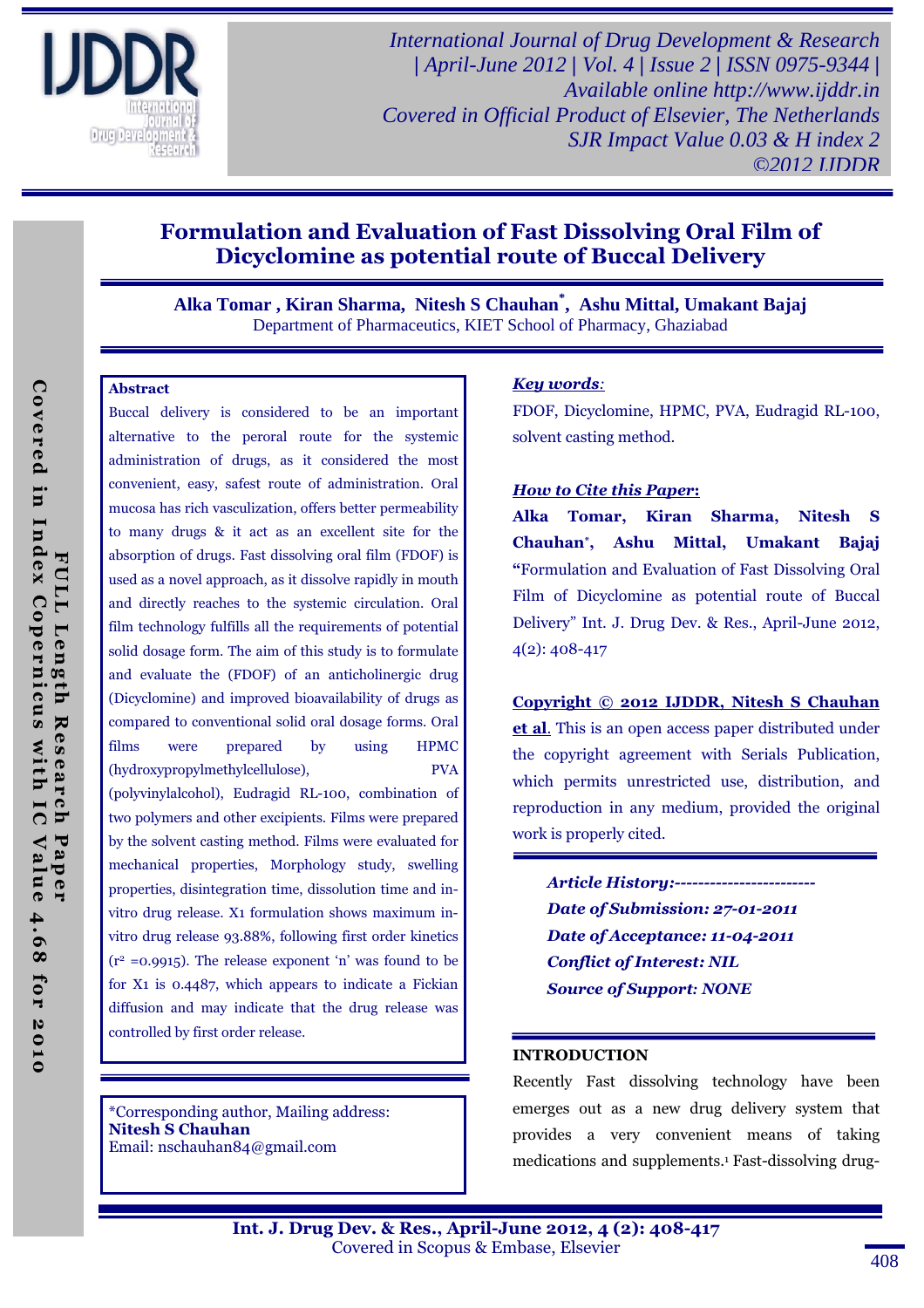

*International Journal of Drug Development & Research | April-June 2012 | Vol. 4 | Issue 2 | ISSN 0975-9344 | Available online http://www.ijddr.in Covered in Official Product of Elsevier, The Netherlands SJR Impact Value 0.03 & H index 2 ©2012 IJDDR*

# Formulation and Evaluation of Fast Dissolving Oral Film of Dicyclomine as potential route of Buccal Delivery

**Alka Tomar , Kiran Sharma, Nitesh S Chauhan\* , Ashu Mittal, Umakant Bajaj**  Department of Pharmaceutics, KIET School of Pharmacy, Ghaziabad

#### Abstract

Buccal delivery is considered to be an important alternative to the peroral route for the systemic administration of drugs, as it considered the most convenient, easy, safest route of administration. Oral mucosa has rich vasculization, offers better permeability to many drugs & it act as an excellent site for the absorption of drugs. Fast dissolving oral film (FDOF) is used as a novel approach, as it dissolve rapidly in mouth and directly reaches to the systemic circulation. Oral film technology fulfills all the requirements of potential solid dosage form. The aim of this study is to formulate and evaluate the (FDOF) of an anticholinergic drug (Dicyclomine) and improved bioavailability of drugs as compared to conventional solid oral dosage forms. Oral films were prepared by using HPMC (hydroxypropylmethylcellulose), PVA (polyvinylalcohol), Eudragid RL-100, combination of two polymers and other excipients. Films were prepared by the solvent casting method. Films were evaluated for mechanical properties, Morphology study, swelling properties, disintegration time, dissolution time and invitro drug release. X1 formulation shows maximum invitro drug release 93.88%, following first order kinetics  $(r^2 = 0.9915)$ . The release exponent 'n' was found to be for X1 is 0.4487, which appears to indicate a Fickian diffusion and may indicate that the drug release was controlled by first order release.

\*Corresponding author, Mailing address: Nitesh S Chauhan Email: nschauhan84@gmail.com

#### Key words*:*

FDOF, Dicyclomine, HPMC, PVA, Eudragid RL-100, solvent casting method.

#### How to Cite this Paper:

Alka Tomar, Kiran Sharma, Nitesh S Chauhan\* , Ashu Mittal, Umakant Bajaj "Formulation and Evaluation of Fast Dissolving Oral Film of Dicyclomine as potential route of Buccal Delivery" Int. J. Drug Dev. & Res., April-June 2012, 4(2): 408-417

Copyright © 2012 IJDDR, Nitesh S Chauhan et al. This is an open access paper distributed under the copyright agreement with Serials Publication, which permits unrestricted use, distribution, and reproduction in any medium, provided the original work is properly cited.

Article History:------------------------ Date of Submission: 27-01-2011 Date of Acceptance: 11-04-2011 Conflict of Interest: NIL Source of Support*:* NONE

#### INTRODUCTION

Recently Fast dissolving technology have been emerges out as a new drug delivery system that provides a very convenient means of taking medications and supplements.1 Fast-dissolving drug-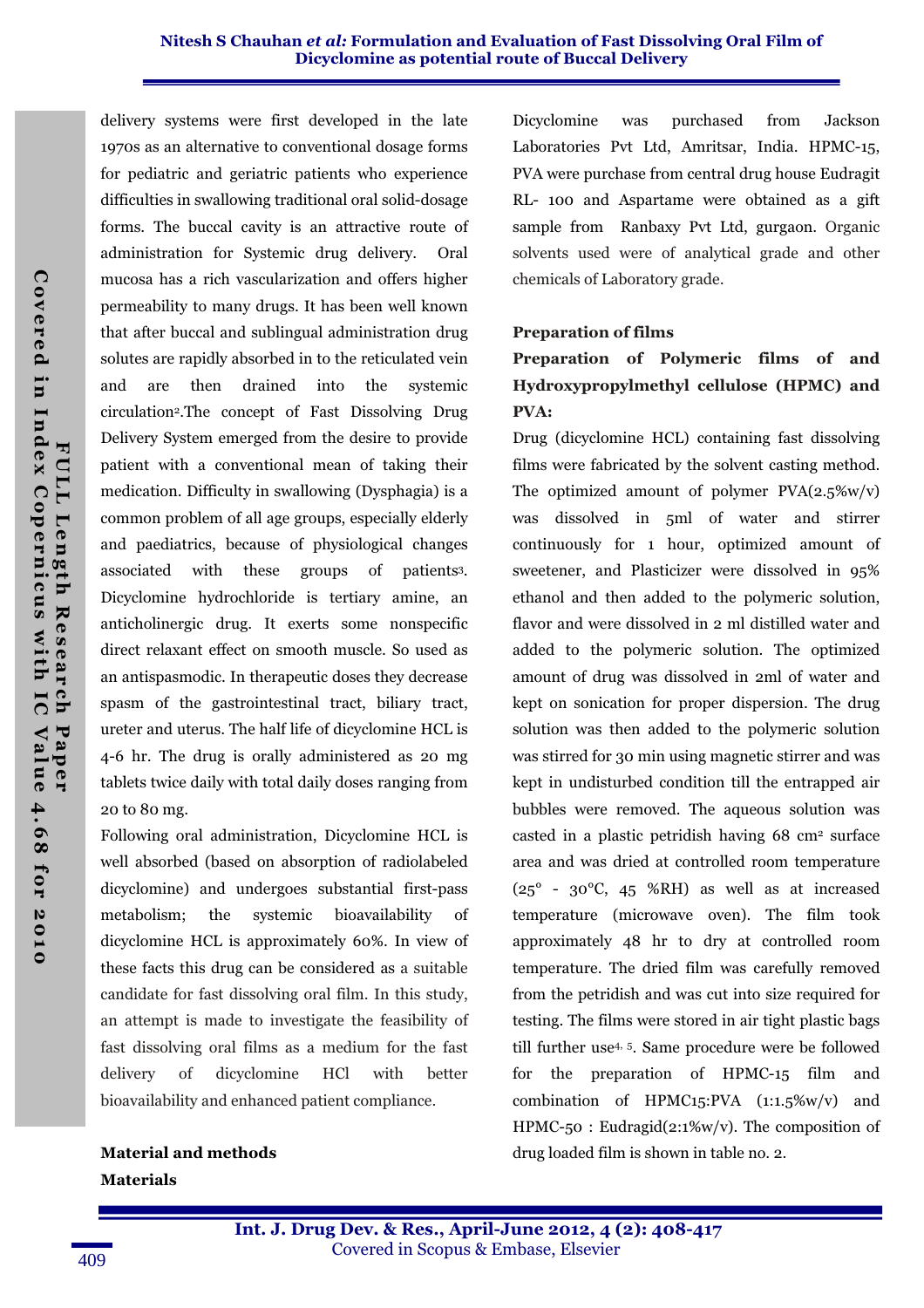delivery systems were first developed in the late 1970s as an alternative to conventional dosage forms for pediatric and geriatric patients who experience difficulties in swallowing traditional oral solid-dosage forms. The buccal cavity is an attractive route of administration for Systemic drug delivery. Oral mucosa has a rich vascularization and offers higher permeability to many drugs. It has been well known that after buccal and sublingual administration drug solutes are rapidly absorbed in to the reticulated vein and are then drained into the systemic circulation2.The concept of Fast Dissolving Drug Delivery System emerged from the desire to provide patient with a conventional mean of taking their medication. Difficulty in swallowing (Dysphagia) is a common problem of all age groups, especially elderly and paediatrics, because of physiological changes associated with these groups of patients3. Dicyclomine hydrochloride is tertiary amine, an anticholinergic drug. It exerts some nonspecific direct relaxant effect on smooth muscle. So used as an antispasmodic. In therapeutic doses they decrease spasm of the gastrointestinal tract, biliary tract, ureter and uterus. The half life of dicyclomine HCL is 4-6 hr. The drug is orally administered as 20 mg tablets twice daily with total daily doses ranging from 20 to 80 mg.

Following oral administration, Dicyclomine HCL is well absorbed (based on absorption of radiolabeled dicyclomine) and undergoes substantial first-pass metabolism; the systemic bioavailability of dicyclomine HCL is approximately 60%. In view of these facts this drug can be considered as a suitable candidate for fast dissolving oral film. In this study, an attempt is made to investigate the feasibility of fast dissolving oral films as a medium for the fast delivery of dicyclomine HCl with better bioavailability and enhanced patient compliance.

Material and methods Materials

Dicyclomine was purchased from Jackson Laboratories Pvt Ltd, Amritsar, India. HPMC-15, PVA were purchase from central drug house Eudragit RL- 100 and Aspartame were obtained as a gift sample from Ranbaxy Pvt Ltd, gurgaon. Organic solvents used were of analytical grade and other chemicals of Laboratory grade.

#### Preparation of films

## Preparation of Polymeric films of and Hydroxypropylmethyl cellulose (HPMC) and PVA:

Drug (dicyclomine HCL) containing fast dissolving films were fabricated by the solvent casting method. The optimized amount of polymer  $PVA(2.5\%w/v)$ was dissolved in 5ml of water and stirrer continuously for 1 hour, optimized amount of sweetener, and Plasticizer were dissolved in 95% ethanol and then added to the polymeric solution, flavor and were dissolved in 2 ml distilled water and added to the polymeric solution. The optimized amount of drug was dissolved in 2ml of water and kept on sonication for proper dispersion. The drug solution was then added to the polymeric solution was stirred for 30 min using magnetic stirrer and was kept in undisturbed condition till the entrapped air bubbles were removed. The aqueous solution was casted in a plastic petridish having 68 cm2 surface area and was dried at controlled room temperature  $(25^{\circ}$  -  $30^{\circ}$ C, 45 %RH) as well as at increased temperature (microwave oven). The film took approximately 48 hr to dry at controlled room temperature. The dried film was carefully removed from the petridish and was cut into size required for testing. The films were stored in air tight plastic bags till further use4, 5. Same procedure were be followed for the preparation of HPMC-15 film and combination of HPMC15:PVA (1:1.5%w/v) and HPMC-50 : Eudragid(2:1%w/v). The composition of drug loaded film is shown in table no. 2.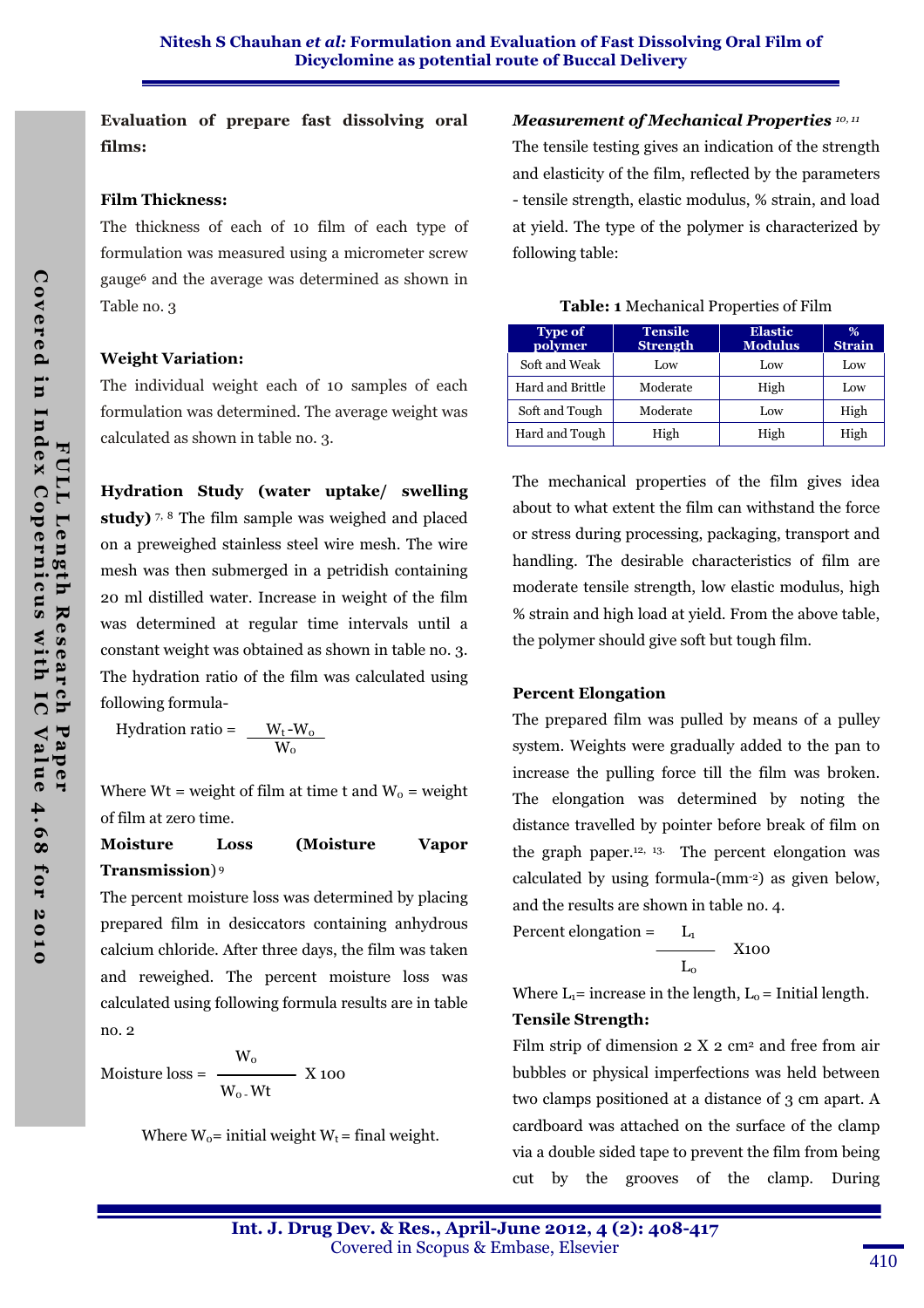Evaluation of prepare fast dissolving oral films:

### Film Thickness:

The thickness of each of 10 film of each type of formulation was measured using a micrometer screw gauge6 and the average was determined as shown in Table no. 3

## Weight Variation:

The individual weight each of 10 samples of each formulation was determined. The average weight was calculated as shown in table no. 3.

Hydration Study (water uptake/ swelling study)  $7, 8$  The film sample was weighed and placed on a preweighed stainless steel wire mesh. The wire mesh was then submerged in a petridish containing 20 ml distilled water. Increase in weight of the film was determined at regular time intervals until a constant weight was obtained as shown in table no. 3. The hydration ratio of the film was calculated using following formula-

Hydration ratio =  $W_t - W_0$  $W_{\rm o}$ 

Where Wt = weight of film at time t and  $W_0$  = weight of film at zero time.

## Moisture Loss (Moisture Vapor Transmission) 9

The percent moisture loss was determined by placing prepared film in desiccators containing anhydrous calcium chloride. After three days, the film was taken and reweighed. The percent moisture loss was calculated using following formula results are in table no. 2

 $W_{\rm o}$ Moisture  $loss =$   $\longrightarrow$  X 100  $W_{o}$  - Wt

Where  $W_0$ = initial weight  $W_t$  = final weight.

## Measurement of Mechanical Properties 10, 11

The tensile testing gives an indication of the strength and elasticity of the film, reflected by the parameters - tensile strength, elastic modulus, % strain, and load at yield. The type of the polymer is characterized by following table:

Table: 1 Mechanical Properties of Film

| <b>Type of</b><br>polymer | <b>Tensile</b><br><b>Strength</b> | <b>Elastic</b><br><b>Modulus</b> | %<br><b>Strain</b> |
|---------------------------|-----------------------------------|----------------------------------|--------------------|
| Soft and Weak             | Low                               | Low                              | Low                |
| Hard and Brittle          | Moderate                          | High                             | Low                |
| Soft and Tough            | Moderate                          | Low                              | High               |
| Hard and Tough            | High                              | High                             | High               |

The mechanical properties of the film gives idea about to what extent the film can withstand the force or stress during processing, packaging, transport and handling. The desirable characteristics of film are moderate tensile strength, low elastic modulus, high % strain and high load at yield. From the above table, the polymer should give soft but tough film.

## Percent Elongation

The prepared film was pulled by means of a pulley system. Weights were gradually added to the pan to increase the pulling force till the film was broken. The elongation was determined by noting the distance travelled by pointer before break of film on the graph paper.12, 13. The percent elongation was calculated by using formula-(mm-2) as given below, and the results are shown in table no. 4.

Percent elongation = 
$$
L_1
$$

$$
L_0
$$
X100

Where  $L_1$ = increase in the length,  $L_0$  = Initial length.

## Tensile Strength:

Film strip of dimension  $2 \text{ X } 2 \text{ cm}^2$  and free from air bubbles or physical imperfections was held between two clamps positioned at a distance of 3 cm apart. A cardboard was attached on the surface of the clamp via a double sided tape to prevent the film from being cut by the grooves of the clamp. During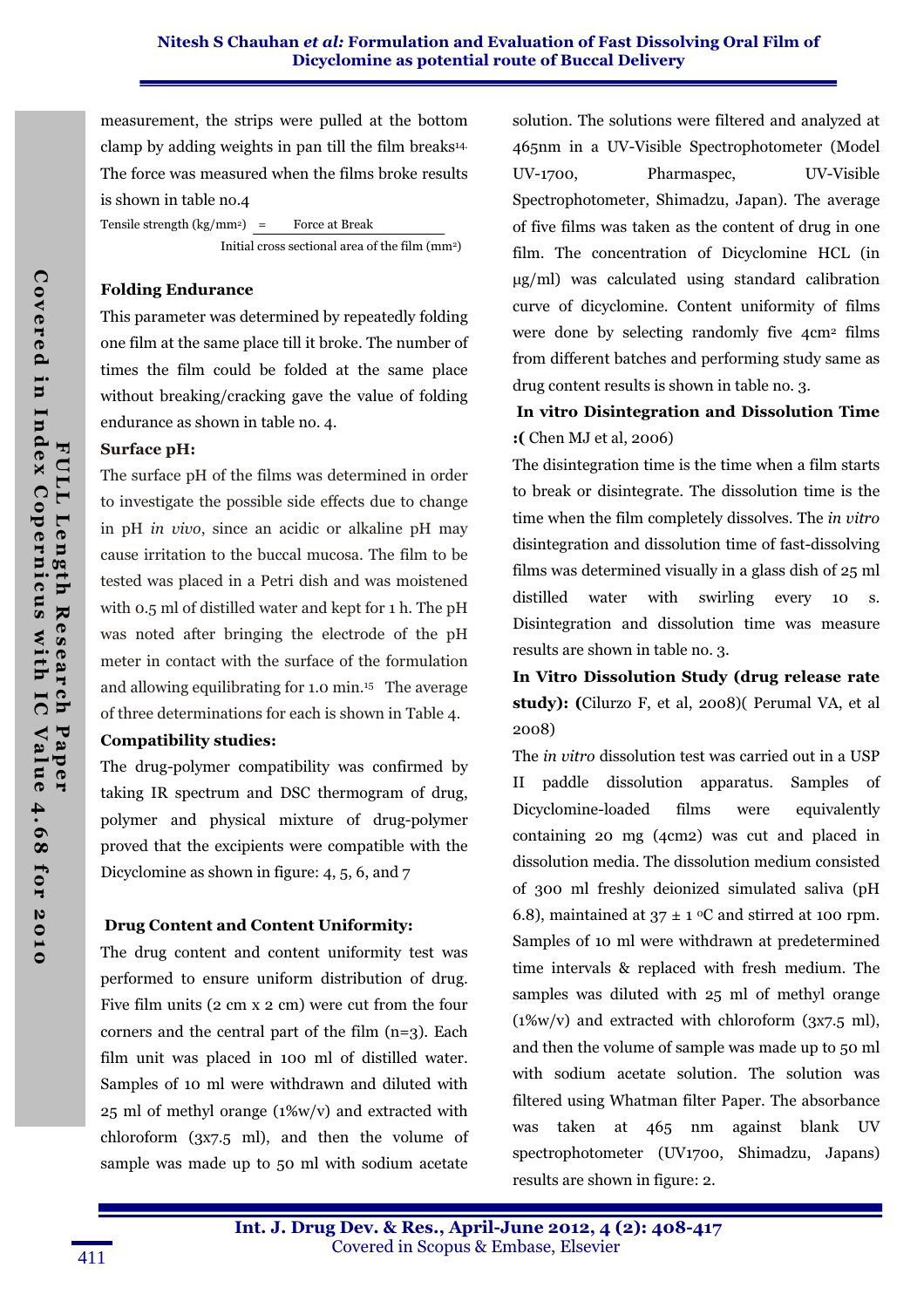measurement, the strips were pulled at the bottom clamp by adding weights in pan till the film breaks14. The force was measured when the films broke results is shown in table no.4

Tensile strength  $(kg/mm^2)$  = Force at Break Initial cross sectional area of the film (mm<sup>2</sup>)

#### Folding Endurance

This parameter was determined by repeatedly folding one film at the same place till it broke. The number of times the film could be folded at the same place without breaking/cracking gave the value of folding endurance as shown in table no. 4.

#### Surface pH:

The surface pH of the films was determined in order to investigate the possible side effects due to change in pH *in vivo*, since an acidic or alkaline pH may cause irritation to the buccal mucosa. The film to be tested was placed in a Petri dish and was moistened with 0.5 ml of distilled water and kept for 1 h. The pH was noted after bringing the electrode of the pH meter in contact with the surface of the formulation and allowing equilibrating for 1.0 min.15 The average of three determinations for each is shown in Table 4.

#### Compatibility studies:

The drug-polymer compatibility was confirmed by taking IR spectrum and DSC thermogram of drug, polymer and physical mixture of drug-polymer proved that the excipients were compatible with the Dicyclomine as shown in figure: 4, 5, 6, and 7

### Drug Content and Content Uniformity:

The drug content and content uniformity test was performed to ensure uniform distribution of drug. Five film units (2 cm x 2 cm) were cut from the four corners and the central part of the film  $(n=3)$ . Each film unit was placed in 100 ml of distilled water. Samples of 10 ml were withdrawn and diluted with 25 ml of methyl orange (1%w/v) and extracted with chloroform (3x7.5 ml), and then the volume of sample was made up to 50 ml with sodium acetate

solution. The solutions were filtered and analyzed at 465nm in a UV-Visible Spectrophotometer (Model UV-1700, Pharmaspec, UV-Visible Spectrophotometer, Shimadzu, Japan). The average of five films was taken as the content of drug in one film. The concentration of Dicyclomine HCL (in µg/ml) was calculated using standard calibration curve of dicyclomine. Content uniformity of films were done by selecting randomly five 4cm2 films from different batches and performing study same as drug content results is shown in table no. 3.

## In vitro Disintegration and Dissolution Time :( Chen MJ et al, 2006)

The disintegration time is the time when a film starts to break or disintegrate. The dissolution time is the time when the film completely dissolves. The *in vitro*  disintegration and dissolution time of fast-dissolving films was determined visually in a glass dish of 25 ml distilled water with swirling every 10 s. Disintegration and dissolution time was measure results are shown in table no. 3.

In Vitro Dissolution Study (drug release rate study): (Cilurzo F, et al, 2008)( Perumal VA, et al 2008)

The *in vitro* dissolution test was carried out in a USP II paddle dissolution apparatus. Samples of Dicyclomine-loaded films were equivalently containing 20 mg (4cm2) was cut and placed in dissolution media. The dissolution medium consisted of 300 ml freshly deionized simulated saliva (pH 6.8), maintained at  $37 \pm 1$  °C and stirred at 100 rpm. Samples of 10 ml were withdrawn at predetermined time intervals & replaced with fresh medium. The samples was diluted with 25 ml of methyl orange  $(1\%w/v)$  and extracted with chloroform  $(3x7.5 \text{ ml})$ , and then the volume of sample was made up to 50 ml with sodium acetate solution. The solution was filtered using Whatman filter Paper. The absorbance was taken at 465 nm against blank UV spectrophotometer (UV1700, Shimadzu, Japans) results are shown in figure: 2.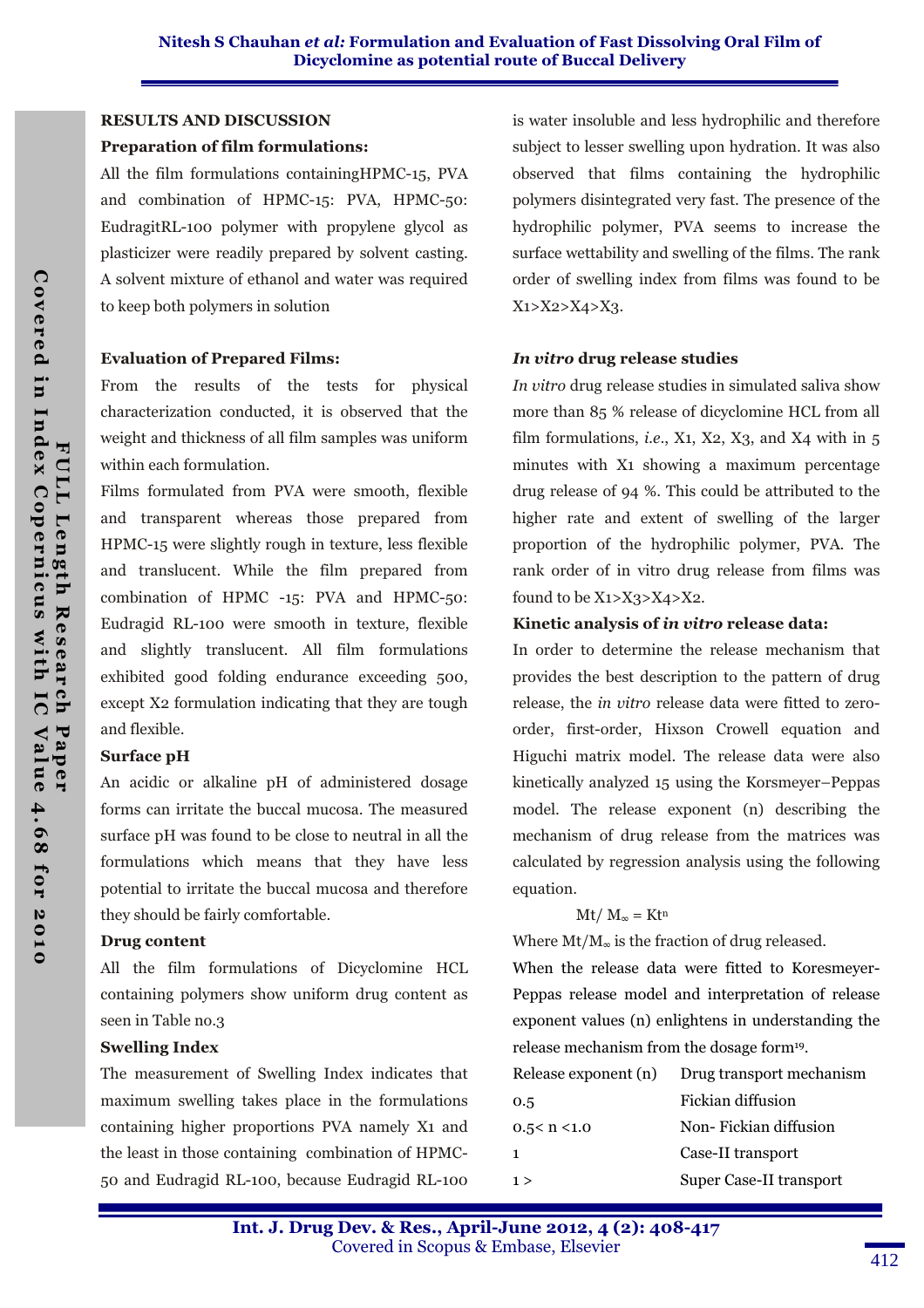#### RESULTS AND DISCUSSION

#### Preparation of film formulations:

All the film formulations containingHPMC-15, PVA and combination of HPMC-15: PVA, HPMC-50: EudragitRL-100 polymer with propylene glycol as plasticizer were readily prepared by solvent casting. A solvent mixture of ethanol and water was required to keep both polymers in solution

#### Evaluation of Prepared Films:

From the results of the tests for physical characterization conducted, it is observed that the weight and thickness of all film samples was uniform within each formulation.

Films formulated from PVA were smooth, flexible and transparent whereas those prepared from HPMC-15 were slightly rough in texture, less flexible and translucent. While the film prepared from combination of HPMC -15: PVA and HPMC-50: Eudragid RL-100 were smooth in texture, flexible and slightly translucent. All film formulations exhibited good folding endurance exceeding 500, except X2 formulation indicating that they are tough and flexible.

#### Surface pH

An acidic or alkaline pH of administered dosage forms can irritate the buccal mucosa. The measured surface pH was found to be close to neutral in all the formulations which means that they have less potential to irritate the buccal mucosa and therefore they should be fairly comfortable.

#### Drug content

All the film formulations of Dicyclomine HCL containing polymers show uniform drug content as seen in Table no.3

#### Swelling Index

The measurement of Swelling Index indicates that maximum swelling takes place in the formulations containing higher proportions PVA namely X1 and the least in those containing combination of HPMC-50 and Eudragid RL-100, because Eudragid RL-100

is water insoluble and less hydrophilic and therefore subject to lesser swelling upon hydration. It was also observed that films containing the hydrophilic polymers disintegrated very fast. The presence of the hydrophilic polymer, PVA seems to increase the surface wettability and swelling of the films. The rank order of swelling index from films was found to be X1>X2>X4>X3.

#### In vitro drug release studies

*In vitro* drug release studies in simulated saliva show more than 85 % release of dicyclomine HCL from all film formulations, *i.e.*, X<sub>1</sub>, X<sub>2</sub>, X<sub>3</sub>, and X<sub>4</sub> with in  $5$ minutes with X1 showing a maximum percentage drug release of 94 %. This could be attributed to the higher rate and extent of swelling of the larger proportion of the hydrophilic polymer, PVA. The rank order of in vitro drug release from films was found to be  $X_1 > X_3 > X_4 > X_2$ .

#### Kinetic analysis of in vitro release data:

In order to determine the release mechanism that provides the best description to the pattern of drug release, the *in vitro* release data were fitted to zeroorder, first-order, Hixson Crowell equation and Higuchi matrix model. The release data were also kinetically analyzed 15 using the Korsmeyer–Peppas model. The release exponent (n) describing the mechanism of drug release from the matrices was calculated by regression analysis using the following equation.

#### $Mt/M_{\infty} = Kt^{n}$

Where  $Mt/M_{\infty}$  is the fraction of drug released.

When the release data were fitted to Koresmeyer-Peppas release model and interpretation of release exponent values (n) enlightens in understanding the release mechanism from the dosage form19.

| Drug transport mechanism |
|--------------------------|
| Fickian diffusion        |
| Non-Fickian diffusion    |
| Case-II transport        |
| Super Case-II transport  |
|                          |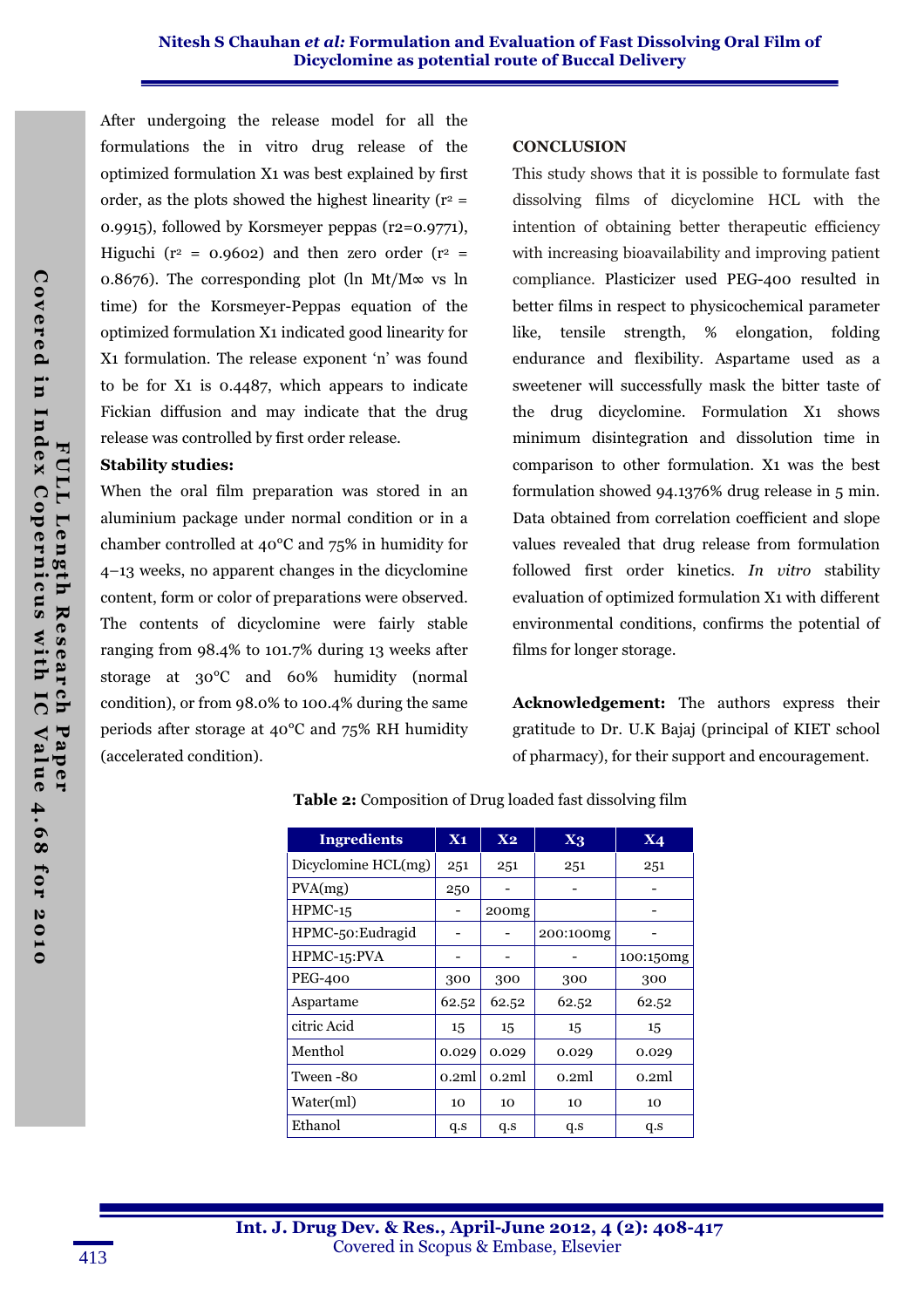After undergoing the release model for all the formulations the in vitro drug release of the optimized formulation X1 was best explained by first order, as the plots showed the highest linearity ( $r^2$  = 0.9915), followed by Korsmeyer peppas (r2=0.9771), Higuchi ( $r^2$  = 0.9602) and then zero order ( $r^2$  = 0.8676). The corresponding plot (ln Mt/M $\infty$  vs ln time) for the Korsmeyer-Peppas equation of the optimized formulation X1 indicated good linearity for X1 formulation. The release exponent 'n' was found to be for X1 is 0.4487, which appears to indicate Fickian diffusion and may indicate that the drug release was controlled by first order release.

#### Stability studies:

When the oral film preparation was stored in an aluminium package under normal condition or in a chamber controlled at 40°C and 75% in humidity for 4–13 weeks, no apparent changes in the dicyclomine content, form or color of preparations were observed. The contents of dicyclomine were fairly stable ranging from 98.4% to 101.7% during 13 weeks after storage at 30°C and 60% humidity (normal condition), or from 98.0% to 100.4% during the same periods after storage at 40°C and 75% RH humidity (accelerated condition).

#### **CONCLUSION**

This study shows that it is possible to formulate fast dissolving films of dicyclomine HCL with the intention of obtaining better therapeutic efficiency with increasing bioavailability and improving patient compliance. Plasticizer used PEG-400 resulted in better films in respect to physicochemical parameter like, tensile strength, % elongation, folding endurance and flexibility. Aspartame used as a sweetener will successfully mask the bitter taste of the drug dicyclomine. Formulation X1 shows minimum disintegration and dissolution time in comparison to other formulation. X1 was the best formulation showed 94.1376% drug release in 5 min. Data obtained from correlation coefficient and slope values revealed that drug release from formulation followed first order kinetics. *In vitro* stability evaluation of optimized formulation X1 with different environmental conditions, confirms the potential of films for longer storage.

Acknowledgement: The authors express their gratitude to Dr. U.K Bajaj (principal of KIET school of pharmacy), for their support and encouragement.

| <b>Ingredients</b>  | $X_1$ | X <sub>2</sub> | $X_3$     | <b>X4</b> |
|---------------------|-------|----------------|-----------|-----------|
| Dicyclomine HCL(mg) | 251   | 251            | 251       | 251       |
| PVA(mg)             | 250   |                |           |           |
| $HPMC-15$           |       | 200mg          |           |           |
| HPMC-50: Eudragid   |       |                | 200:100mg |           |
| HPMC-15:PVA         |       |                |           | 100:150mg |
| <b>PEG-400</b>      | 300   | 300            | 300       | 300       |
| Aspartame           | 62.52 | 62.52          | 62.52     | 62.52     |
| citric Acid         | 15    | 15             | 15        | 15        |
| Menthol             | 0.029 | 0.029          | 0.029     | 0.029     |
| Tween -80           | 0.2ml | 0.2ml          | 0.2ml     | 0.2ml     |
| Water(ml)           | 10    | 10             | 10        | 10        |
| Ethanol             | q.s   | q.s            | q.s       | q.s       |

Table 2: Composition of Drug loaded fast dissolving film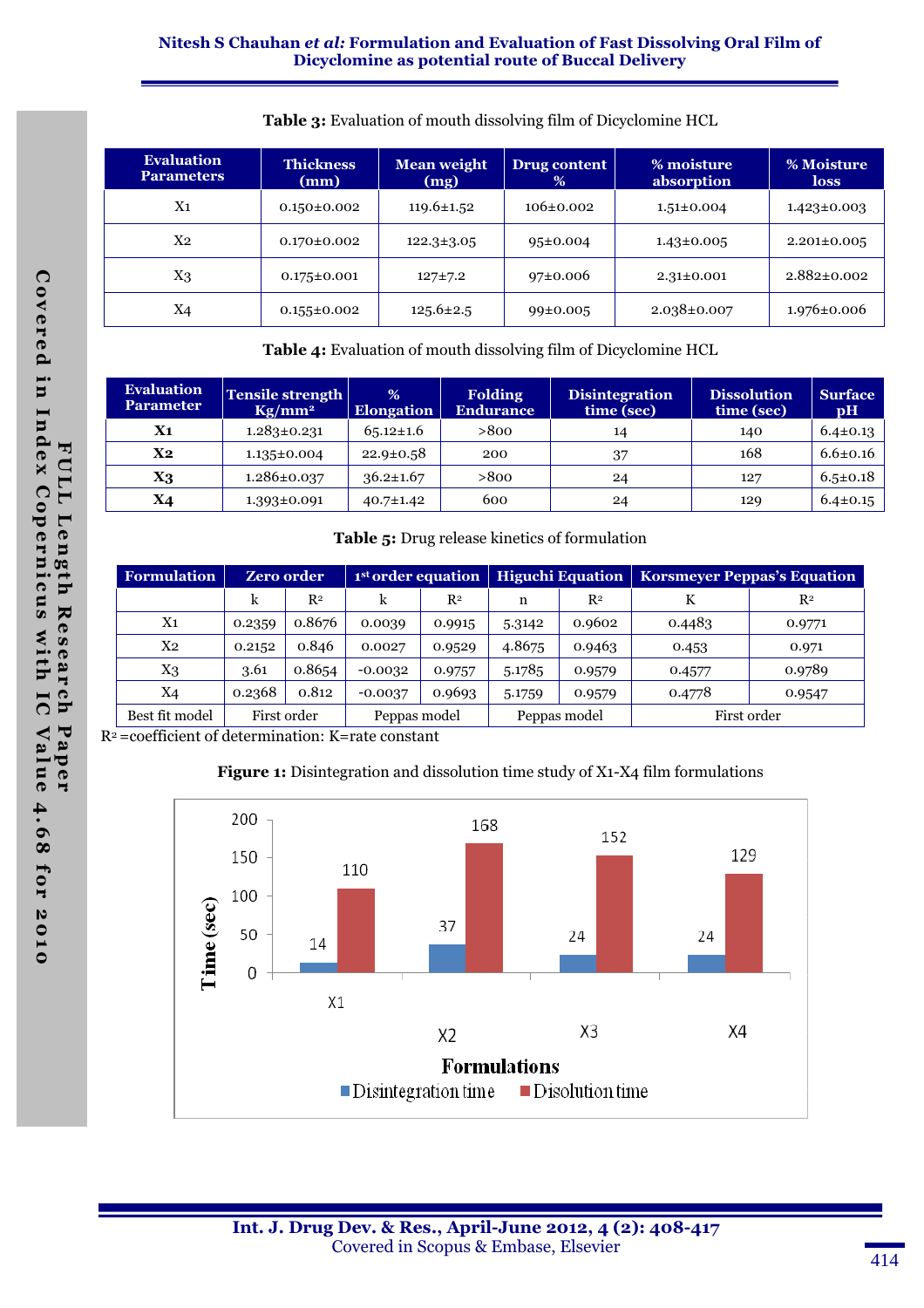### Nitesh S Chauhan et al: Formulation and Evaluation of Fast Dissolving Oral Film of Dicyclomine as potential route of Buccal Delivery

| <b>Evaluation</b><br><b>Thickness</b><br><b>Parameters</b><br>(mm) |                   | <b>Mean weight</b><br>(mg) | Drug content<br>$\%$ | % moisture<br>absorption | % Moisture<br>loss |
|--------------------------------------------------------------------|-------------------|----------------------------|----------------------|--------------------------|--------------------|
| $\rm X1$                                                           | $0.150 \pm 0.002$ | $119.6 \pm 1.52$           | $106\pm0.002$        | $1.51 \pm 0.004$         | $1.423 \pm 0.003$  |
| X <sub>2</sub>                                                     | $0.170 \pm 0.002$ | $122.3 \pm 3.05$           | $95 \pm 0.004$       | $1.43 \pm 0.005$         | $2.201 \pm 0.005$  |
| $X_3$                                                              | $0.175 \pm 0.001$ | $127 + 7.2$                | 97±0.006             | $2.31 \pm 0.001$         | $2.882 \pm 0.002$  |
| X <sub>4</sub>                                                     | $0.155 \pm 0.002$ | $125.6 \pm 2.5$            | $99 \pm 0.005$       | $2.038 \pm 0.007$        | $1.976 \pm 0.006$  |

#### Table 3: Evaluation of mouth dissolving film of Dicyclomine HCL

Table 4: Evaluation of mouth dissolving film of Dicyclomine HCL

| <b>Evaluation</b><br><b>Parameter</b> | Tensile strength<br>$Kg/mm^2$ | %<br><b>Elongation</b> | <b>Folding</b><br><b>Endurance</b> | <b>Disintegration</b><br>time (sec) | <b>Dissolution</b><br>time (sec) | <b>Surface</b><br>$\mathbf{p}$ H |
|---------------------------------------|-------------------------------|------------------------|------------------------------------|-------------------------------------|----------------------------------|----------------------------------|
| X1                                    | $1.283 \pm 0.231$             | $65.12 \pm 1.6$        | >800                               | 14                                  | 140                              | $6.4 \pm 0.13$                   |
| $X_{2}$                               | $1.135 \pm 0.004$             | $22.9 \pm 0.58$        | 200                                | 37                                  | 168                              | $6.6 \pm 0.16$                   |
| X3                                    | $1.286 \pm 0.037$             | $36.2 \pm 1.67$        | >800                               | 24                                  | 127                              | $6.5 \pm 0.18$                   |
| X4                                    | $1.393 \pm 0.091$             | $40.7 \pm 1.42$        | 600                                | 24                                  | 129                              | $6.4 \pm 0.15$                   |

#### Table 5: Drug release kinetics of formulation

| <b>Formulation</b> | <b>Zero order</b> |                | 1 <sup>st</sup> order equation |                | <b>Higuchi Equation</b> |        | <b>Korsmeyer Peppas's Equation</b> |        |
|--------------------|-------------------|----------------|--------------------------------|----------------|-------------------------|--------|------------------------------------|--------|
|                    | k                 | R <sup>2</sup> | k                              | R <sup>2</sup> | n                       | $R^2$  |                                    | $R^2$  |
| $X_{1}$            | 0.2359            | 0.8676         | 0.0039                         | 0.9915         | 5.3142                  | 0.9602 | 0.4483                             | 0.9771 |
| Х2                 | 0.2152            | 0.846          | 0.0027                         | 0.9529         | 4.8675                  | 0.9463 | 0.453                              | 0.971  |
| X3                 | 3.61              | 0.8654         | $-0.0032$                      | 0.9757         | 5.1785                  | 0.9579 | 0.4577                             | 0.9789 |
| Χ4                 | 0.2368            | 0.812          | $-0.0037$                      | 0.9693         | 5.1759                  | 0.9579 | 0.4778                             | 0.9547 |
| Best fit model     | First order       |                | Peppas model                   |                | Peppas model            |        | First order                        |        |

R2 =coefficient of determination: K=rate constant

#### Figure 1: Disintegration and dissolution time study of X1-X4 film formulations

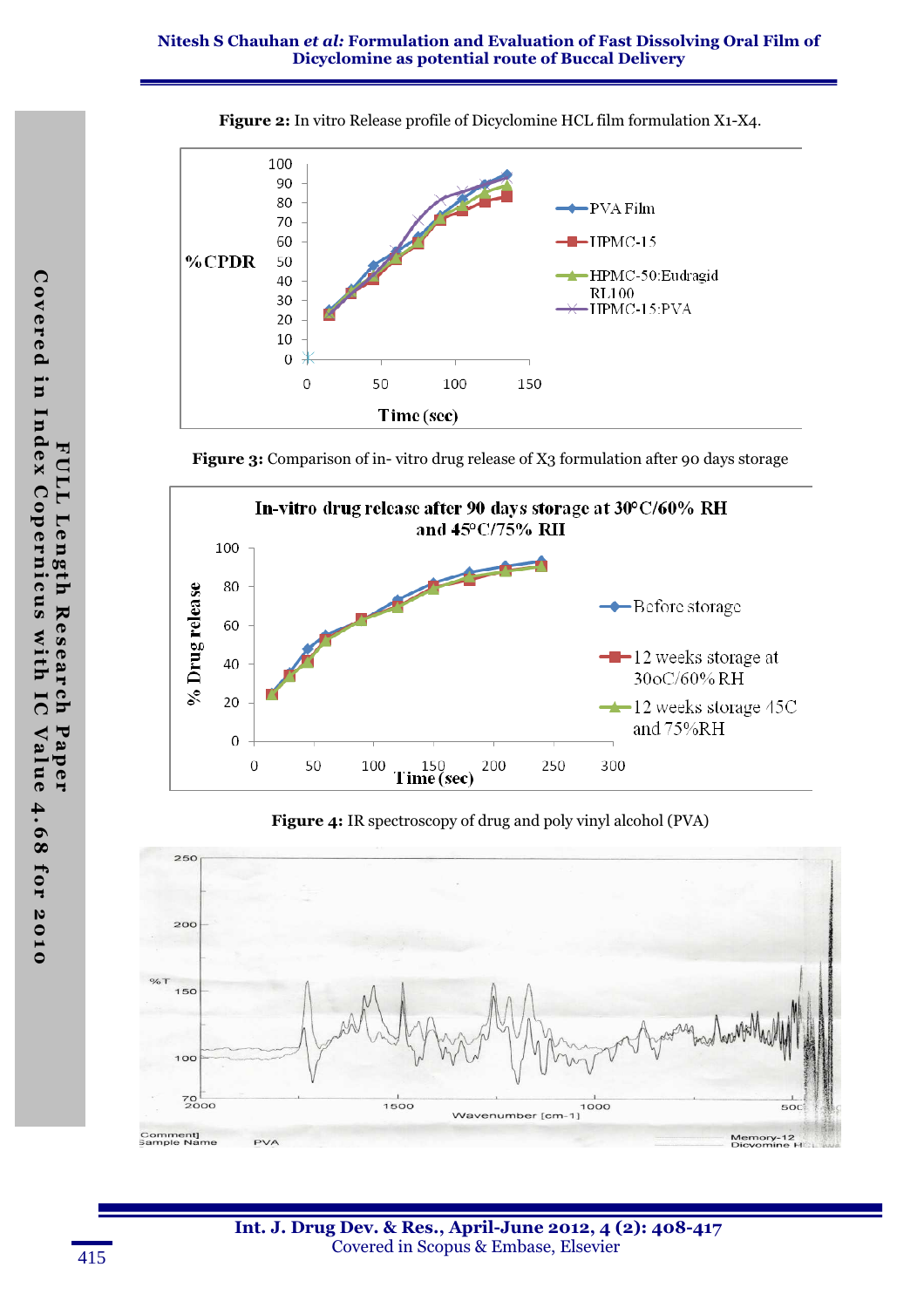

Figure 2: In vitro Release profile of Dicyclomine HCL film formulation X1-X4.

Figure 3: Comparison of in-vitro drug release of X3 formulation after 90 days storage



Figure 4: IR spectroscopy of drug and poly vinyl alcohol (PVA)

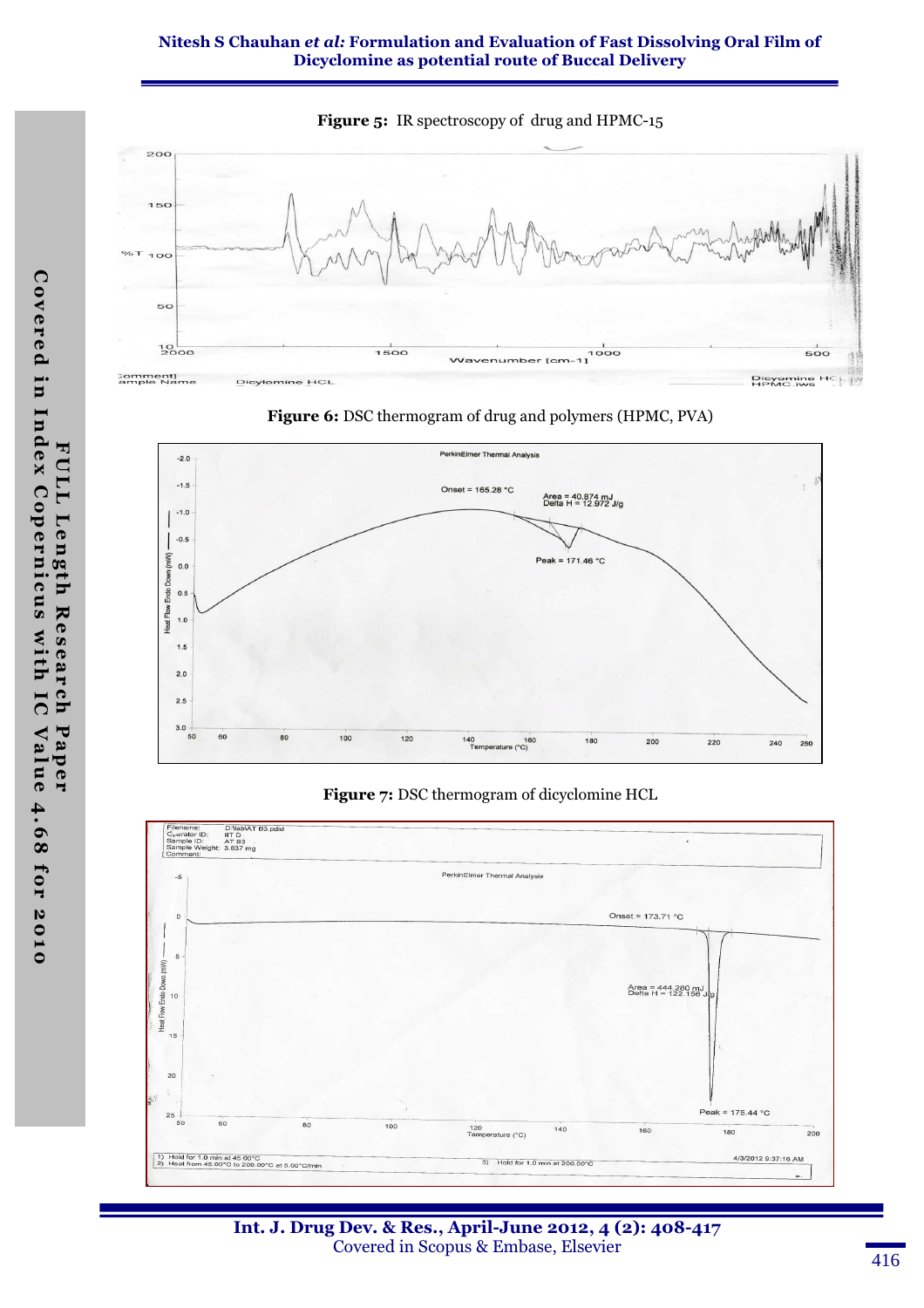#### Nitesh S Chauhan et al: Formulation and Evaluation of Fast Dissolving Oral Film of Dicyclomine as potential route of Buccal Delivery







#### Figure 7: DSC thermogram of dicyclomine HCL



Int. J. Drug Dev. & Res., April-June 2012, 4 (2): 408-417 Covered in Scopus & Embase, Elsevier